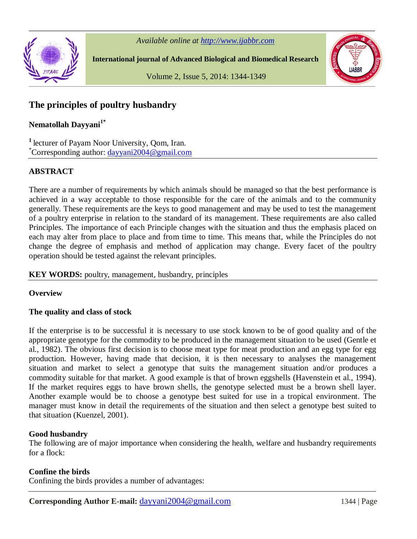

*Available online at http://www.ijabbr.com*

**International journal of Advanced Biological and Biomedical Research**



Volume 2, Issue 5, 2014: 1344-1349

# **The principles of poultry husbandry**

**Nematollah Dayyani1\***

**<sup>1</sup>**lecturer of Payam Noor University, Qom, Iran. \*Corresponding author: dayyani2004@gmail.com

# **ABSTRACT**

There are a number of requirements by which animals should be managed so that the best performance is achieved in a way acceptable to those responsible for the care of the animals and to the community generally. These requirements are the keys to good management and may be used to test the management of a poultry enterprise in relation to the standard of its management. These requirements are also called Principles. The importance of each Principle changes with the situation and thus the emphasis placed on each may alter from place to place and from time to time. This means that, while the Principles do not change the degree of emphasis and method of application may change. Every facet of the poultry operation should be tested against the relevant principles.

# **KEY WORDS:** poultry, management, husbandry, principles

# **Overview**

#### **The quality and class of stock**

If the enterprise is to be successful it is necessary to use stock known to be of good quality and of the appropriate genotype for the commodity to be produced in the management situation to be used (Gentle et al., 1982). The obvious first decision is to choose meat type for meat production and an egg type for egg production. However, having made that decision, it is then necessary to analyses the management situation and market to select a genotype that suits the management situation and/or produces a commodity suitable for that market. A good example is that of brown eggshells (Havenstein et al., 1994). If the market requires eggs to have brown shells, the genotype selected must be a brown shell layer. Another example would be to choose a genotype best suited for use in a tropical environment. The manager must know in detail the requirements of the situation and then select a genotype best suited to that situation (Kuenzel, 2001).

#### **Good husbandry**

The following are of major importance when considering the health, welfare and husbandry requirements for a flock:

# **Confine the birds**

Confining the birds provides a number of advantages: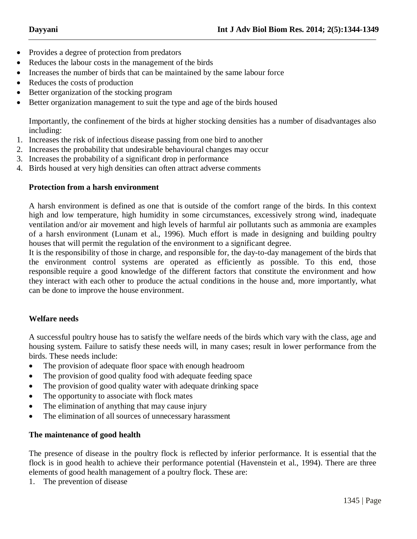- Provides a degree of protection from predators
- Reduces the labour costs in the management of the birds
- Increases the number of birds that can be maintained by the same labour force
- Reduces the costs of production
- Better organization of the stocking program
- Better organization management to suit the type and age of the birds housed

Importantly, the confinement of the birds at higher stocking densities has a number of disadvantages also including:

- 1. Increases the risk of infectious disease passing from one bird to another
- 2. Increases the probability that undesirable behavioural changes may occur
- 3. Increases the probability of a significant drop in performance
- 4. Birds housed at very high densities can often attract adverse comments

## **Protection from a harsh environment**

A harsh environment is defined as one that is outside of the comfort range of the birds. In this context high and low temperature, high humidity in some circumstances, excessively strong wind, inadequate ventilation and/or air movement and high levels of harmful air pollutants such as ammonia are examples of a harsh environment (Lunam et al., 1996). Much effort is made in designing and building poultry houses that will permit the regulation of the environment to a significant degree.

It is the responsibility of those in charge, and responsible for, the day-to-day management of the birds that the environment control systems are operated as efficiently as possible. To this end, those responsible require a good knowledge of the different factors that constitute the environment and how they interact with each other to produce the actual conditions in the house and, more importantly, what can be done to improve the house environment.

# **Welfare needs**

A successful poultry house has to satisfy the welfare needs of the birds which vary with the class, age and housing system. Failure to satisfy these needs will, in many cases; result in lower performance from the birds. These needs include:

- The provision of adequate floor space with enough headroom
- The provision of good quality food with adequate feeding space
- The provision of good quality water with adequate drinking space
- The opportunity to associate with flock mates
- The elimination of anything that may cause injury
- The elimination of all sources of unnecessary harassment

# **The maintenance of good health**

The presence of disease in the poultry flock is reflected by inferior performance. It is essential that the flock is in good health to achieve their performance potential (Havenstein et al., 1994). There are three elements of good health management of a poultry flock. These are:

1. The prevention of disease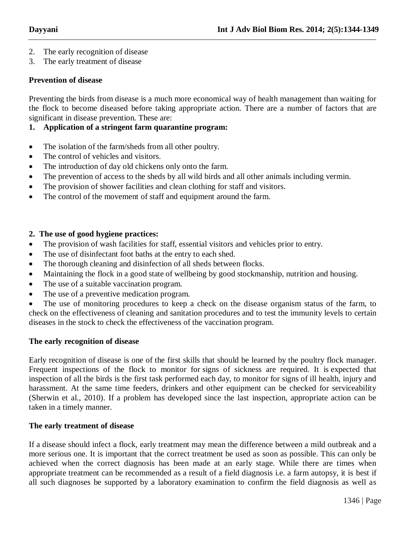- 2. The early recognition of disease
- 3. The early treatment of disease

## **Prevention of disease**

Preventing the birds from disease is a much more economical way of health management than waiting for the flock to become diseased before taking appropriate action. There are a number of factors that are significant in disease prevention. These are:

## **1. Application of a stringent farm quarantine program:**

- The isolation of the farm/sheds from all other poultry.
- The control of vehicles and visitors.
- The introduction of day old chickens only onto the farm.
- The prevention of access to the sheds by all wild birds and all other animals including vermin.
- The provision of shower facilities and clean clothing for staff and visitors.
- The control of the movement of staff and equipment around the farm.

## **2. The use of good hygiene practices:**

- The provision of wash facilities for staff, essential visitors and vehicles prior to entry.
- The use of disinfectant foot baths at the entry to each shed.
- The thorough cleaning and disinfection of all sheds between flocks.
- Maintaining the flock in a good state of wellbeing by good stockmanship, nutrition and housing.
- The use of a suitable vaccination program.
- The use of a preventive medication program.

• The use of monitoring procedures to keep a check on the disease organism status of the farm, to check on the effectiveness of cleaning and sanitation procedures and to test the immunity levels to certain diseases in the stock to check the effectiveness of the vaccination program.

#### **The early recognition of disease**

Early recognition of disease is one of the first skills that should be learned by the poultry flock manager. Frequent inspections of the flock to monitor for signs of sickness are required. It is expected that inspection of all the birds is the first task performed each day, to monitor for signs of ill health, injury and harassment. At the same time feeders, drinkers and other equipment can be checked for serviceability (Sherwin et al., 2010). If a problem has developed since the last inspection, appropriate action can be taken in a timely manner.

#### **The early treatment of disease**

If a disease should infect a flock, early treatment may mean the difference between a mild outbreak and a more serious one. It is important that the correct treatment be used as soon as possible. This can only be achieved when the correct diagnosis has been made at an early stage. While there are times when appropriate treatment can be recommended as a result of a field diagnosis i.e. a farm autopsy, it is best if all such diagnoses be supported by a laboratory examination to confirm the field diagnosis as well as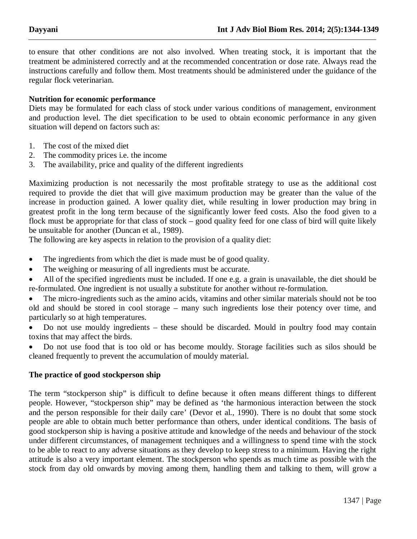to ensure that other conditions are not also involved. When treating stock, it is important that the treatment be administered correctly and at the recommended concentration or dose rate. Always read the instructions carefully and follow them. Most treatments should be administered under the guidance of the regular flock veterinarian.

## **Nutrition for economic performance**

Diets may be formulated for each class of stock under various conditions of management, environment and production level. The diet specification to be used to obtain economic performance in any given situation will depend on factors such as:

- 1. The cost of the mixed diet
- 2. The commodity prices i.e. the income
- 3. The availability, price and quality of the different ingredients

Maximizing production is not necessarily the most profitable strategy to use as the additional cost required to provide the diet that will give maximum production may be greater than the value of the increase in production gained. A lower quality diet, while resulting in lower production may bring in greatest profit in the long term because of the significantly lower feed costs. Also the food given to a flock must be appropriate for that class of stock – good quality feed for one class of bird will quite likely be unsuitable for another (Duncan et al., 1989).

The following are key aspects in relation to the provision of a quality diet:

- The ingredients from which the diet is made must be of good quality.
- The weighing or measuring of all ingredients must be accurate.

 All of the specified ingredients must be included. If one e.g. a grain is unavailable, the diet should be re-formulated. One ingredient is not usually a substitute for another without re-formulation.

 The micro-ingredients such as the amino acids, vitamins and other similar materials should not be too old and should be stored in cool storage – many such ingredients lose their potency over time, and particularly so at high temperatures.

 Do not use mouldy ingredients – these should be discarded. Mould in poultry food may contain toxins that may affect the birds.

 Do not use food that is too old or has become mouldy. Storage facilities such as silos should be cleaned frequently to prevent the accumulation of mouldy material.

#### **The practice of good stockperson ship**

The term "stockperson ship" is difficult to define because it often means different things to different people. However, "stockperson ship" may be defined as 'the harmonious interaction between the stock and the person responsible for their daily care' (Devor et al., 1990). There is no doubt that some stock people are able to obtain much better performance than others, under identical conditions. The basis of good stockperson ship is having a positive attitude and knowledge of the needs and behaviour of the stock under different circumstances, of management techniques and a willingness to spend time with the stock to be able to react to any adverse situations as they develop to keep stress to a minimum. Having the right attitude is also a very important element. The stockperson who spends as much time as possible with the stock from day old onwards by moving among them, handling them and talking to them, will grow a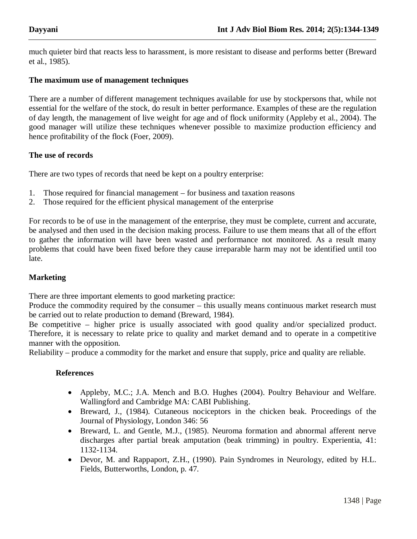much quieter bird that reacts less to harassment, is more resistant to disease and performs better (Breward et al., 1985).

## **The maximum use of management techniques**

There are a number of different management techniques available for use by stockpersons that, while not essential for the welfare of the stock, do result in better performance. Examples of these are the regulation of day length, the management of live weight for age and of flock uniformity (Appleby et al., 2004). The good manager will utilize these techniques whenever possible to maximize production efficiency and hence profitability of the flock (Foer, 2009).

## **The use of records**

There are two types of records that need be kept on a poultry enterprise:

- 1. Those required for financial management for business and taxation reasons
- 2. Those required for the efficient physical management of the enterprise

For records to be of use in the management of the enterprise, they must be complete, current and accurate, be analysed and then used in the decision making process. Failure to use them means that all of the effort to gather the information will have been wasted and performance not monitored. As a result many problems that could have been fixed before they cause irreparable harm may not be identified until too late.

#### **Marketing**

There are three important elements to good marketing practice:

Produce the commodity required by the consumer – this usually means continuous market research must be carried out to relate production to demand (Breward, 1984).

Be competitive – higher price is usually associated with good quality and/or specialized product. Therefore, it is necessary to relate price to quality and market demand and to operate in a competitive manner with the opposition.

Reliability – produce a commodity for the market and ensure that supply, price and quality are reliable.

#### **References**

- Appleby, M.C.; J.A. Mench and B.O. Hughes (2004). Poultry Behaviour and Welfare. Wallingford and Cambridge MA: CABI Publishing.
- Breward, J., (1984). Cutaneous nociceptors in the chicken beak. Proceedings of the Journal of Physiology, London 346: 56
- Breward, L. and Gentle, M.J., (1985). Neuroma formation and abnormal afferent nerve discharges after partial break amputation (beak trimming) in poultry. Experientia, 41: 1132-1134.
- Devor, M. and Rappaport, Z.H., (1990). Pain Syndromes in Neurology, edited by H.L. Fields, Butterworths, London, p. 47.